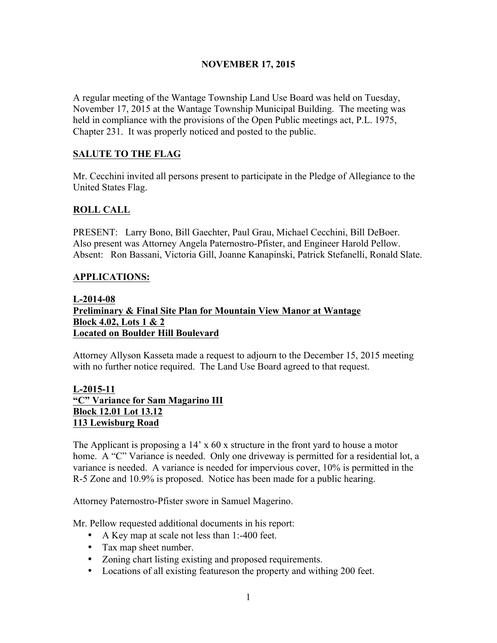# NOVEMBER 17, 2015

A regular meeting of the Wantage Township Land Use Board was held on Tuesday, November 17, 2015 at the Wantage Township Municipal Building. The meeting was held in compliance with the provisions of the Open Public meetings act, P.L. 1975, Chapter 231. It was properly noticed and posted to the public.

# SALUTE TO THE FLAG

Mr. Cecchini invited all persons present to participate in the Pledge of Allegiance to the United States Flag.

# ROLL CALL

PRESENT: Larry Bono, Bill Gaechter, Paul Grau, Michael Cecchini, Bill DeBoer. Also present was Attorney Angela Paternostro-Pfister, and Engineer Harold Pellow. Absent: Ron Bassani, Victoria Gill, Joanne Kanapinski, Patrick Stefanelli, Ronald Slate.

# APPLICATIONS:

#### L-2014-08 Preliminary & Final Site Plan for Mountain View Manor at Wantage Block 4.02, Lots 1 & 2 Located on Boulder Hill Boulevard

Attorney Allyson Kasseta made a request to adjourn to the December 15, 2015 meeting with no further notice required. The Land Use Board agreed to that request.

# L-2015-11 "C" Variance for Sam Magarino III Block 12.01 Lot 13.12 113 Lewisburg Road

The Applicant is proposing a 14' x 60 x structure in the front yard to house a motor home. A "C" Variance is needed. Only one driveway is permitted for a residential lot, a variance is needed. A variance is needed for impervious cover, 10% is permitted in the R-5 Zone and 10.9% is proposed. Notice has been made for a public hearing.

Attorney Paternostro-Pfister swore in Samuel Magerino.

Mr. Pellow requested additional documents in his report:

- A Key map at scale not less than 1:-400 feet.
- Tax map sheet number.
- Zoning chart listing existing and proposed requirements.
- Locations of all existing featureson the property and withing 200 feet.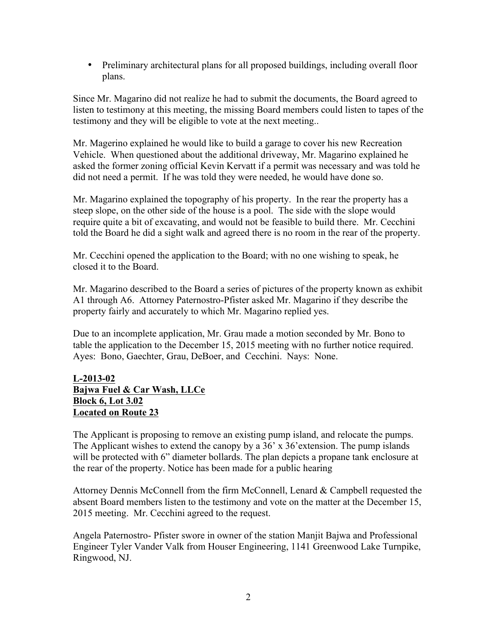• Preliminary architectural plans for all proposed buildings, including overall floor plans.

Since Mr. Magarino did not realize he had to submit the documents, the Board agreed to listen to testimony at this meeting, the missing Board members could listen to tapes of the testimony and they will be eligible to vote at the next meeting..

Mr. Magerino explained he would like to build a garage to cover his new Recreation Vehicle. When questioned about the additional driveway, Mr. Magarino explained he asked the former zoning official Kevin Kervatt if a permit was necessary and was told he did not need a permit. If he was told they were needed, he would have done so.

Mr. Magarino explained the topography of his property. In the rear the property has a steep slope, on the other side of the house is a pool. The side with the slope would require quite a bit of excavating, and would not be feasible to build there. Mr. Cecchini told the Board he did a sight walk and agreed there is no room in the rear of the property.

Mr. Cecchini opened the application to the Board; with no one wishing to speak, he closed it to the Board.

Mr. Magarino described to the Board a series of pictures of the property known as exhibit A1 through A6. Attorney Paternostro-Pfister asked Mr. Magarino if they describe the property fairly and accurately to which Mr. Magarino replied yes.

Due to an incomplete application, Mr. Grau made a motion seconded by Mr. Bono to table the application to the December 15, 2015 meeting with no further notice required. Ayes: Bono, Gaechter, Grau, DeBoer, and Cecchini. Nays: None.

### L-2013-02 Bajwa Fuel & Car Wash, LLCe Block 6, Lot 3.02 Located on Route 23

The Applicant is proposing to remove an existing pump island, and relocate the pumps. The Applicant wishes to extend the canopy by a 36' x 36' extension. The pump islands will be protected with 6" diameter bollards. The plan depicts a propane tank enclosure at the rear of the property. Notice has been made for a public hearing

Attorney Dennis McConnell from the firm McConnell, Lenard & Campbell requested the absent Board members listen to the testimony and vote on the matter at the December 15, 2015 meeting. Mr. Cecchini agreed to the request.

Angela Paternostro- Pfister swore in owner of the station Manjit Bajwa and Professional Engineer Tyler Vander Valk from Houser Engineering, 1141 Greenwood Lake Turnpike, Ringwood, NJ.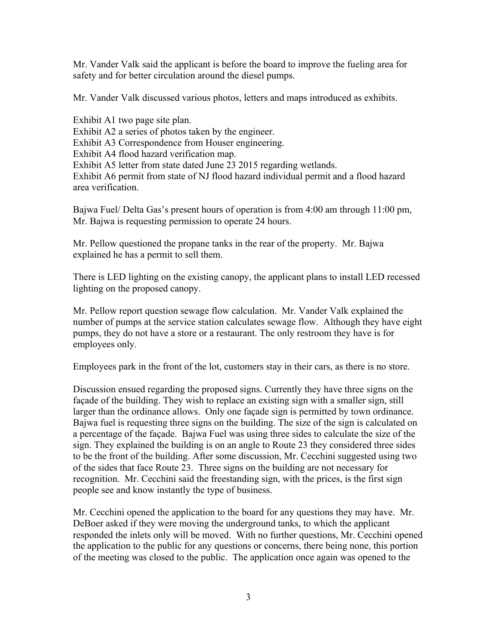Mr. Vander Valk said the applicant is before the board to improve the fueling area for safety and for better circulation around the diesel pumps.

Mr. Vander Valk discussed various photos, letters and maps introduced as exhibits.

Exhibit A1 two page site plan. Exhibit A2 a series of photos taken by the engineer. Exhibit A3 Correspondence from Houser engineering. Exhibit A4 flood hazard verification map. Exhibit A5 letter from state dated June 23 2015 regarding wetlands. Exhibit A6 permit from state of NJ flood hazard individual permit and a flood hazard area verification.

Bajwa Fuel/ Delta Gas's present hours of operation is from 4:00 am through 11:00 pm, Mr. Bajwa is requesting permission to operate 24 hours.

Mr. Pellow questioned the propane tanks in the rear of the property. Mr. Bajwa explained he has a permit to sell them.

There is LED lighting on the existing canopy, the applicant plans to install LED recessed lighting on the proposed canopy.

Mr. Pellow report question sewage flow calculation. Mr. Vander Valk explained the number of pumps at the service station calculates sewage flow. Although they have eight pumps, they do not have a store or a restaurant. The only restroom they have is for employees only.

Employees park in the front of the lot, customers stay in their cars, as there is no store.

Discussion ensued regarding the proposed signs. Currently they have three signs on the façade of the building. They wish to replace an existing sign with a smaller sign, still larger than the ordinance allows. Only one façade sign is permitted by town ordinance. Bajwa fuel is requesting three signs on the building. The size of the sign is calculated on a percentage of the façade. Bajwa Fuel was using three sides to calculate the size of the sign. They explained the building is on an angle to Route 23 they considered three sides to be the front of the building. After some discussion, Mr. Cecchini suggested using two of the sides that face Route 23. Three signs on the building are not necessary for recognition. Mr. Cecchini said the freestanding sign, with the prices, is the first sign people see and know instantly the type of business.

Mr. Cecchini opened the application to the board for any questions they may have. Mr. DeBoer asked if they were moving the underground tanks, to which the applicant responded the inlets only will be moved. With no further questions, Mr. Cecchini opened the application to the public for any questions or concerns, there being none, this portion of the meeting was closed to the public. The application once again was opened to the